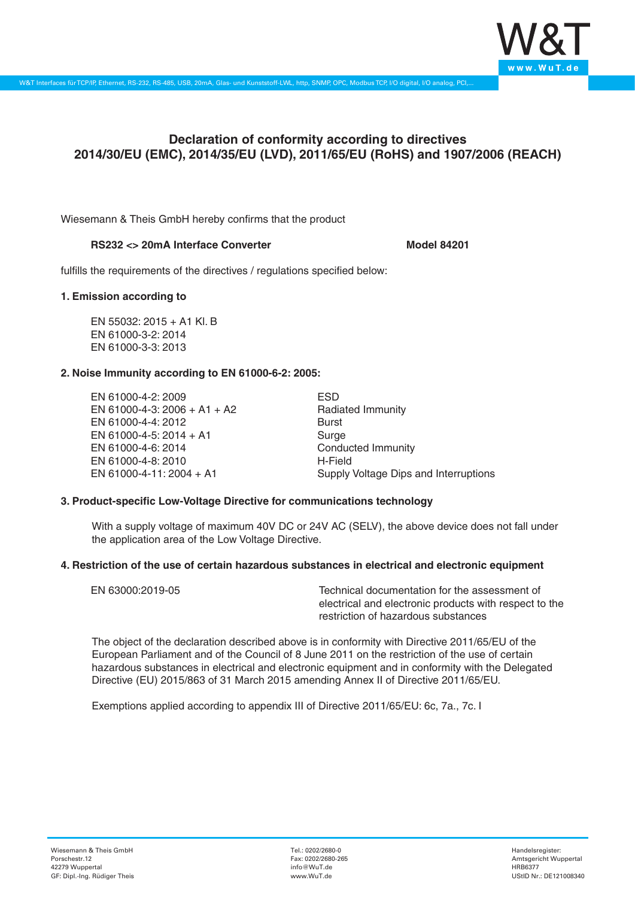

# **Declaration of conformity according to directives 2014/30/EU (EMC), 2014/35/EU (LVD), 2011/65/EU (RoHS) and 1907/2006 (REACH)**

Wiesemann & Theis GmbH hereby confirms that the product

## RS232 <> 20mA Interface Converter **Model 84201**

fulfills the requirements of the directives / regulations specified below:

#### **1. Emission according to**

EN 55032: 2015 + A1 Kl. B EN 61000-3-2: 2014 EN 61000-3-3: 2013

## **2. Noise Immunity according to EN 61000-6-2: 2005:**

EN 61000-4-2: 2009 EN 61000-4-3: 2006 + A1 + A2 EN 61000-4-4: 2012 EN 61000-4-5: 2014 + A1 EN 61000-4-6: 2014 EN 61000-4-8: 2010 EN 61000-4-11: 2004 + A1

ESD Radiated Immunity Burst Surge Conducted Immunity H-Field Supply Voltage Dips and Interruptions

## **3. Product-specific Low-Voltage Directive for communications technology**

With a supply voltage of maximum 40V DC or 24V AC (SELV), the above device does not fall under the application area of the Low Voltage Directive.

## **4. Restriction of the use of certain hazardous substances in electrical and electronic equipment**

| EN 63000:2019-05 | Technical documentation for the assessment of          |
|------------------|--------------------------------------------------------|
|                  | electrical and electronic products with respect to the |
|                  | restriction of hazardous substances                    |

The object of the declaration described above is in conformity with Directive 2011/65/EU of the European Parliament and of the Council of 8 June 2011 on the restriction of the use of certain hazardous substances in electrical and electronic equipment and in conformity with the Delegated Directive (EU) 2015/863 of 31 March 2015 amending Annex II of Directive 2011/65/EU.

Exemptions applied according to appendix III of Directive 2011/65/EU: 6c, 7a., 7c. I